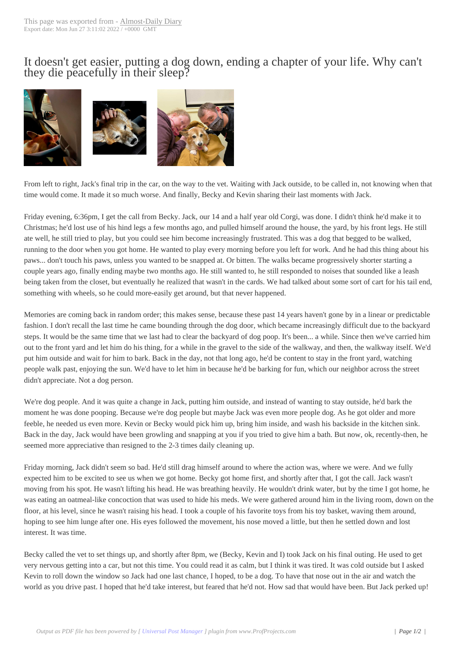It doesn't get easier[, putting a do](http://www.chainreactionblogs.com/diary/?p=14092)g down, ending a chapter of your life. Why can't they die peacefully in their sleep?



[From left to right, Jack's final trip in the car, on the way to the vet. W](http://www.chainreactionblogs.com/diary/wp-content/uploads/2022/01/jack_alt.jpg)aiting with Jack outside, to be called in, not knowing when that time would come. It made it so much worse. And finally, Becky and Kevin sharing their last moments with Jack.

Friday evening, 6:36pm, I get the call from Becky. Jack, our 14 and a half year old Corgi, was done. I didn't think he'd make it to Christmas; he'd lost use of his hind legs a few months ago, and pulled himself around the house, the yard, by his front legs. He still ate well, he still tried to play, but you could see him become increasingly frustrated. This was a dog that begged to be walked, running to the door when you got home. He wanted to play every morning before you left for work. And he had this thing about his paws... don't touch his paws, unless you wanted to be snapped at. Or bitten. The walks became progressively shorter starting a couple years ago, finally ending maybe two months ago. He still wanted to, he still responded to noises that sounded like a leash being taken from the closet, but eventually he realized that wasn't in the cards. We had talked about some sort of cart for his tail end, something with wheels, so he could more-easily get around, but that never happened.

Memories are coming back in random order; this makes sense, because these past 14 years haven't gone by in a linear or predictable fashion. I don't recall the last time he came bounding through the dog door, which became increasingly difficult due to the backyard steps. It would be the same time that we last had to clear the backyard of dog poop. It's been... a while. Since then we've carried him out to the front yard and let him do his thing, for a while in the gravel to the side of the walkway, and then, the walkway itself. We'd put him outside and wait for him to bark. Back in the day, not that long ago, he'd be content to stay in the front yard, watching people walk past, enjoying the sun. We'd have to let him in because he'd be barking for fun, which our neighbor across the street didn't appreciate. Not a dog person.

We're dog people. And it was quite a change in Jack, putting him outside, and instead of wanting to stay outside, he'd bark the moment he was done pooping. Because we're dog people but maybe Jack was even more people dog. As he got older and more feeble, he needed us even more. Kevin or Becky would pick him up, bring him inside, and wash his backside in the kitchen sink. Back in the day, Jack would have been growling and snapping at you if you tried to give him a bath. But now, ok, recently-then, he seemed more appreciative than resigned to the 2-3 times daily cleaning up.

Friday morning, Jack didn't seem so bad. He'd still drag himself around to where the action was, where we were. And we fully expected him to be excited to see us when we got home. Becky got home first, and shortly after that, I got the call. Jack wasn't moving from his spot. He wasn't lifting his head. He was breathing heavily. He wouldn't drink water, but by the time I got home, he was eating an oatmeal-like concoction that was used to hide his meds. We were gathered around him in the living room, down on the floor, at his level, since he wasn't raising his head. I took a couple of his favorite toys from his toy basket, waving them around, hoping to see him lunge after one. His eyes followed the movement, his nose moved a little, but then he settled down and lost interest. It was time.

Becky called the vet to set things up, and shortly after 8pm, we (Becky, Kevin and I) took Jack on his final outing. He used to get very nervous getting into a car, but not this time. You could read it as calm, but I think it was tired. It was cold outside but I asked Kevin to roll down the window so Jack had one last chance, I hoped, to be a dog. To have that nose out in the air and watch the world as you drive past. I hoped that he'd take interest, but feared that he'd not. How sad that would have been. But Jack perked up!